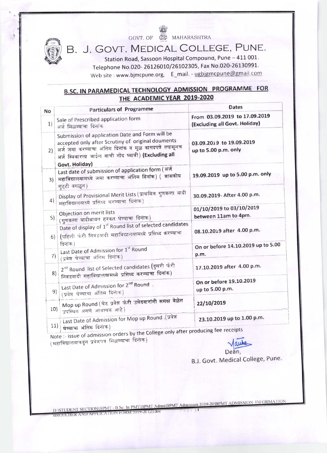GOVT. OF SALE MAHARASHTRA



B. J. GOVT. MEDICAL COLLEGE, PUNE.

Station Road, Sassoon Hospital Compound, Pune - 411 001. Telephone No.020-26126010/26102305, Fax No.020-26130991. Web site : www.bjmcpune.org, E\_mail. - ugbjgmcpune@gmail.com

# **B.SC. IN PARAMEDICAL TECHNOLOGY ADMISSION PROGRAMME FOR** THE ACADEMIC YEAR 2019-2020

| No  | <b>Particulars of Programme</b>                                                                                                                                                                                        | <b>Dates</b>                                                   |
|-----|------------------------------------------------------------------------------------------------------------------------------------------------------------------------------------------------------------------------|----------------------------------------------------------------|
| 1)  | Sale of Prescribed application form<br>अर्ज मिळण्याचा दिनांक                                                                                                                                                           | From 03.09.2019 to 17.09.2019<br>(Excluding all Govt. Holiday) |
| 2)  | Submission of application Date and Form will be<br>accepted only after Scrutiny of original douments<br>अर्ज जमा करण्याचा अंतिम दिनांक व मूळ कागदपत्रे तपासूनच<br>अर्ज स्विकारला जाईल याची नोंद घ्यावी) (Excluding all | 03.09.2019 to 19.09.2019<br>up to 5.00 p.m. only               |
| 3)  | Govt. Holiday)<br>Last date of submission of application form (अर्ज<br>महाविद्यालयामध्ये जमा करण्याचा अंतिम दिनांक) ( शासकीय<br>सुट्टी वगळून)                                                                          | 19.09.2019 up to 5.00 p.m. only                                |
| 4)  | Display of Provisional Merit Lists (प्राथमिक गुणवत्ता यादी<br>महाविद्यालयाध्ये प्रसिध्द करण्याचा दिनांक)                                                                                                               | 30.09.2019- After 4.00 p.m.                                    |
| 5)  | Objection on merit lists<br>(गुणवत्ता यादीबावत हरकत घेण्याचा दिनाक)                                                                                                                                                    | 01/10/2019 to 03/10/2019<br>between 11am to 4pm.               |
|     | Date of display of 1 <sup>st</sup> Round list of selected candidates<br>6)   (पहिली फेरी निवडयादी महाविद्यालयामध्ये प्रसिध्द करण्याचा<br>दिनांक)                                                                       | 08.10.2019 after 4.00 p.m.                                     |
| 7)  | Last Date of Admission for 1st Round<br>(प्रवेश घेण्याचा अंतिम दिनाक)                                                                                                                                                  | On or before 14.10.2019 up to 5.00<br>p.m.                     |
| 8)  | 2 <sup>nd</sup> Round list of Selected candidates (दुसरी फेरी<br>निवडयादी महाविद्यालयामध्ये प्रसिध्द करण्याचा दिनांक)                                                                                                  | 17.10.2019 after 4.00 p.m.                                     |
| 9)  | Last Date of Admission for 2 <sup>nd</sup> Round.<br>(प्रवेश घेण्याचा अंतिम दिनाक)                                                                                                                                     | On or before 19.10.2019<br>up to 5.00 p.m.                     |
| 10) | Mop up Round (थेट प्रवेश फेरी उमेदवारांनी समक्ष वेळेत<br>उपस्थित असणे आवण्यक आहे)                                                                                                                                      | 22/10/2019                                                     |
|     | Last Date of Admission for Mop up Round .(प्रवेश<br>11)<br>घेण्याचा अंतिम दिनाक)                                                                                                                                       | 23.10.2019 up to 1.00 p.m.<br>$L_{\text{max}}$ for receipts    |

Note :- issue of admission orders by the College only after producing fee rece (महाविद्यालयाकडून प्रवेशपत्र मिळण्याचा दिनाक)

aw Dean,

B.J. Govt. Medical College, Pune.

D:\STUDENT SECTION\BPMT - B.Sc. In PMT\BPMT Admn\BPMT Admission 2019-20\BPMT ADMISSION INFORMATION BROUCHER AND APPLICATION FORM 2019-20 (2) does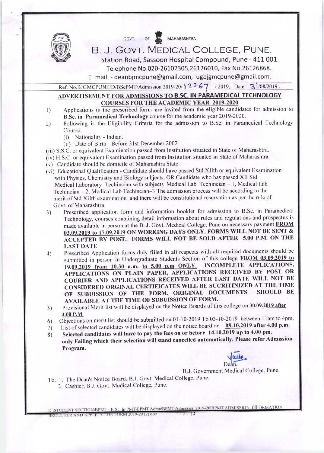

GOVT. OF MAHARASHTRA

## B. J. GOVT. MEDICAL COLLEGE, PUNE.

Station Road, Sassoon Hospital Compound, Pune - 411 001. Telephone No.020-26102305,26126010, Fax No.26126868.

E mail. - deanbimcpune@gmail.com, ugbigmcpune@gmail.com.

Ref. No.BJGMCPUNE/D/BScPMT/Admission 2019-20/12267 /2019, Date - 3 /08/2019.

## ADVERTISEMENT FOR ADMISSIONS TO B.SC. IN PARAMEDICAL TECHNOLOGY **COURSES FOR THE ACADEMIC YEAR 2019-2020**

- Applications in the prescribed form- are invited from the eligible candidates for admission to  $\left| \right|$ B.Sc. in Paramedical Technology course for the academic year 2019-2020.
- Following is the Eligibility Criteria for the admission to B.Sc. in Paramedical Technology  $2)$ Course.
	- Nationality Indian.  $(i)$
	- (ii) Date of Birth Before 31st December 2002.
- (iii) S.S.C. or equivalent Examination passed from Institution situated in State of Maharashtra.
- (iv) H.S.C. or equivalent Examination passed from Institution situated in State of Maharashtra
- (v) Candidate should be domicile of Maharashtra State.
- (vi) Educational Qualification Candidate should have passed Std. XIIth or equivalent Examination with Physics, Chemistry and Biology subjects. OR Candidate who has passed XII Std. Medical Laboratory Techincian with subjects Medical Lab Techincian - 1, Medical Lab Techincian - 2, Medical Lab Techincian-3 The admission process will be according to the merit of Std. XIIth examination and there will be constitutional reservation as per the rule of Govt. of Maharashtra.
- Prescribed application form and information booklet for admission to B.Sc. in Paramedical  $3)$ Technology, courses containing detail information about rules and regulations and prospectus is made available in person at the B. J. Govt. Medical College, Pune on necessary payment FROM 03.09.2019 to 17.09.2019 ON WORKING DAYS ONLY. FORMS WILL NOT BE SENT & ACCEPTED BY POST. FORMS WILL NOT BE SOLD AFTER 5.00 P.M. ON THE **LAST DATE.**
- Prescribed Application forms duly filled in all respects with all required documents should be  $4)$ submitted in person in Undergraduate Students Section of this college FROM 03.09.2019 to 19.09.2019 from 10.30 a.m. to 5.00 p.m ONLY. INCOMPLETE APPLICATIONS, APPLICATIONS ON PLAIN PAPER, APPLICATIONS RECEIVED BY POST OR COURIER AND APPLICATIONS RECEIVED AFTER LAST DATE WILL NOT BE CONSIDERED ORGINAL CERTIFICATES WILL BE SUCRITINIZED AT THE TIME OF SUBUISSION OF THE FORM. ORIGINAL DOCUMENTS **SHOULD BE** AVAILABLE AT THE TIME OF SUBUISSION OF FORM.
- Provisional Merit list will be displayed on the Notice Boards of this college on 30.09.2019 after  $5)$ 4.00 P.M.
- Objections on merit list should be submitted on 01-10-2019 To 03-10-2019 between 11am to 4pm. 6)
- List of selected candidates will be displayed on the notice board on  $08.10.2019$  after 4.00 p.m. 7)
- Selected candidates will have to pay the fees on or before 14.10.2019 up to 4.00 pm. 8) only Failing which their selection will stand cancelled automatically. Please refer Admission Program.

B.J. Government Medical College, Pune.

- To, 1. The Dean's Notice Board, B.J. Govt. Medical College, Pune.
	- 2. Cashier, B.J. Govt. Medical College, Pune.

D:\STUDENT SECTION\BPMT - B.Sc. In PMT\BPMT Admn\BPMT Admission 2019-20\BPMT ADMISSION INFORMATION BROUCHER AND APPLICATION FORM 2019-20 (2).doc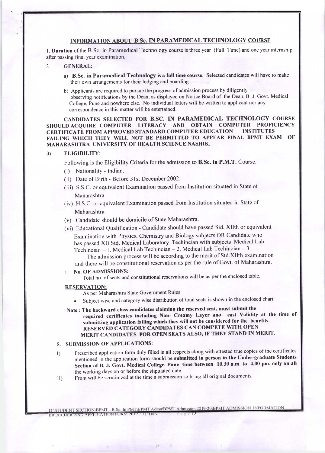## INFORMATION ABOUT B.Sc. IN PARAMEDICAL TECHNOLOGY COURSE

1. Duration of the B.Sc. in Paramedical Technology course is three year (Full Time) and one year internship after passing final year examination.

- $\overline{2}$ **GENERAL:** 
	- a) B.Sc. in Paramedical Technology is a full time course. Selected candidates will have to make their own arrangements for their lodging and boarding.
	- b) Applicants are required to pursue the progress of admission process by diligently observing notifications by the Dean, as displayed on Notice Board of the Dean, B. J. Govt. Medical College. Pune and nowhere else. No individual letters will be written to applicant nor any correspondence in this matter will be entertained.

CANDIDATES SELECTED FOR B.SC. IN PARAMEDICAL TECHNOLOGY COURSE SHOULD ACQUIRE COMPUTER LITERACY AND OBTAIN COMPUTER PROFICIENCY **CERTIFICATE FROM APPROVED STANDARD COMPUTER EDUCATION INSTITUTES** FAILING WHICH THEY WILL NOT BE PERMITTED TO APPEAR FINAL BPMT EXAM  $\Omega$ F MAHARASHTRA UNIVERSITY OF HEALTH SCIENCE NASHIK.

#### $3)$ **ELIGIBILITY:**

Following is the Eligibility Criteria for the admission to B.Sc. in P.M.T. Course.

- (i) Nationality Indian.
- (ii) Date of Birth Before 31st December 2002.
- (iii) S.S.C. or equivalent Examination passed from Institution situated in State of Maharashtra
- (iv) H.S.C. or equivalent Examination passed from Institution situated in State of Maharashtra
- (v) Candidate should be domicile of State Maharashtra.
- (vi) Educational Qualification Candidate should have passed Sid. XIIth or equivalent Examination with Physics, Chemistry and Biology subjects OR Candidate who has passed XII Std. Medical Laboratory Techincian with subjects Medical Lab Techincian - 1, Medical Lab Techincian - 2, Medical Lab Techincian - 3

The admission process will be according to the merit of Std. XIIth examination and there will be constitutional reservation as per the rule of Govt. of Maharashtra.

**No. OF ADMISSIONS:**  $\mathbf{1}$ 

Total no. of seats and constitutional reservations will be as per the enclosed table.

#### **RESERVATION;**

- As per Maharashtra State Government Rules
- Subject wise and category wise distribution of total seats is shown in the enclosed chart.
- Note: The backward class candidates claiming the reserved seat, must submit the required certificates including Non- Creamy Layer and cast Validity at the time of submitting application failing which they will not be considered for the benefits. RESERVED CATEGORY CANDIDATES CAN COMPETE WITH OPEN MERIT CANDIDATES FOR OPEN SEATS ALSO, IF THEY STAND IN MERIT.

### 5. SUBMISSION OF APPLICATIONS:

- Prescribed application form duly filled in all respects along with attested true copies of the certificates  $\left\vert \right\rangle$ mentioned in the application form should be submitted in person in the Under-graduate Students Section of B. J. Govt. Medical College, Pune time between 10.30 a.m. to 4.00 pm. only on all the working days on or before the stipulated date.
- From will be scrutinized at the time a submission so bring all original documents.  $|1\rangle$

D:\STUDENT SECTION\BPMT - B.Sc. In PMT\BPMT Admn\BPMT Admission 2019-20\BPMT ADMISSION INFORMATION BROUCHER AND APPLICATION FORM 2019-20 (2) doe

祥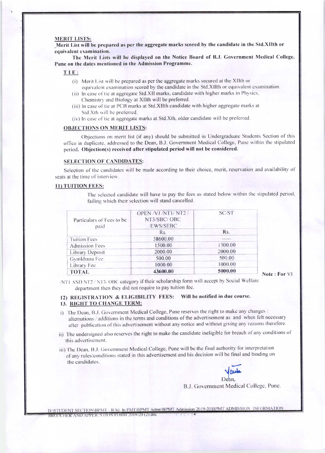#### **MERIT LISTS:**

Merit List will be prepared as per the aggregate marks scored by the candidate in the Std.XIIth or equivalent examination.

The Merit Lists will be displayed on the Notice Board of B.J. Government Medical College, Pune on the dates mentioned in the Admission Programme.

#### TIE:

- (i) Merit List will be prepared as per the aggregate marks secured at the XIIth or equivalent examination scored by the candidate in the Std.XIIth or equivalent examination.
- (ii) In case of tie at aggregate Std.XII marks, candidate with higher marks in Physics, Chemistry and Biology at XIIth will be preferred.
- (iii) In case of tie at PCB marks at Std. XIIth candidate with higher aggregate marks at Std.Xth will be preferred.
- (iv) In case of tie at aggregate marks at Std.Xth, older candidate will be preferred.

#### **OBJECTIONS ON MERIT LISTS:**

Objections on merit list (if any) should be submitted in Undergraduate Students Section of this office in duplicate, addressed to the Dean, B.J. Government Medical College, Pune within the stipulated period. Objection(s) received after stipulated period will not be considered.

#### **SELECTION OF CANDIDATES:**

Selection of the candidates will be made according to their choice, merit, reservation and availability of seats at the time of interview.

#### 11) TUITION FEES:

The selected candidate will have to pay the fees as stated below within the stipulated period, failing which their selection will stand cancelled.

| Particulars of Fees to be<br>paid | OPEN /VJ /NT1/NT2 /<br>NT3/SBC/OBC<br>/EWS/SEBC | SC/ST   |
|-----------------------------------|-------------------------------------------------|---------|
|                                   | Rs.                                             | Rs.     |
| <b>Tuition Fees</b>               | 38600.00                                        | ----    |
| <b>Admission Fees</b>             | 1500.00                                         | 1500.00 |
| Library Deposit                   | 2000.00                                         | 2000.00 |
| Gymkhana Fee                      | 500.00                                          | 500.00  |
| Library Fee                       | 1000.00                                         | 1000.00 |
| <b>TOTAL</b>                      | 43600.00                                        | 5000.00 |

Note: For VJ

/NT1 AND NT2 / NT3/ OBC category if their scholarship form will accept by Social Welfare department then they did not require to pay tuition fee.

## 12) REGISTRATION & ELIGIBILITY FEES: Will be notified in due course. 13. RIGHT TO CHANGE TERM:

- i) The Dean, B.J. Government Medical College, Pune reserves the right to make any changes / alternations / additions in the terms and conditions of the advertisement as and when felt necessary after publication of this advertisement without any notice and without giving any reasons therefore.
- ii) The undersigned also reserves the right to make the candidate ineligible for breach of any conditions of this advertisement.
- iii) The Dean, B.J. Government Medical College, Pune will be the final authority for interpretation of any rules/conditions stated in this advertisement and his decision will be final and binding on the candidates.

B.J. Government Medical College, Pune.

D:\STUDENT SECTION\BPMT - B.Sc. In PMT\BPMT Admn\BPMT Admission 2019-20\BPMT ADMISSION INFORMATION BROUCHER AND APPLICATION FORM 2019-20 (2) doc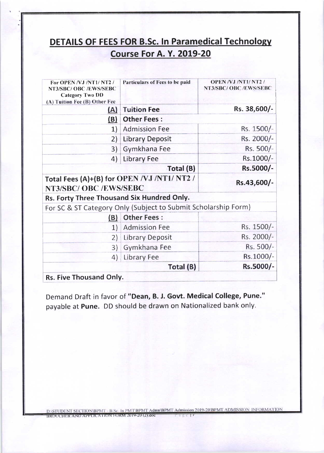# **DETAILS OF FEES FOR B.Sc. In Paramedical Technology Course For A. Y. 2019-20**

| For OPEN/VJ/NT1/NT2/<br>NT3/SBC/ OBC /EWS/SEBC<br><b>Category Two DD</b><br>(A) Tuition Fee (B) Other Fee | Particulars of Fees to be paid                                                                                                                                                                                                                                                                                                                                                                                                                                                   | <b>OPEN/VJ/NT1/NT2/</b><br>NT3/SBC/OBC/EWS/SEBC |  |  |  |  |  |
|-----------------------------------------------------------------------------------------------------------|----------------------------------------------------------------------------------------------------------------------------------------------------------------------------------------------------------------------------------------------------------------------------------------------------------------------------------------------------------------------------------------------------------------------------------------------------------------------------------|-------------------------------------------------|--|--|--|--|--|
| (A)                                                                                                       | <b>Tuition Fee</b>                                                                                                                                                                                                                                                                                                                                                                                                                                                               | Rs. 38,600/-                                    |  |  |  |  |  |
| (B)                                                                                                       | <b>Other Fees:</b>                                                                                                                                                                                                                                                                                                                                                                                                                                                               |                                                 |  |  |  |  |  |
| 1)                                                                                                        | <b>Admission Fee</b>                                                                                                                                                                                                                                                                                                                                                                                                                                                             | Rs. 1500/-                                      |  |  |  |  |  |
| 2)                                                                                                        | <b>Library Deposit</b>                                                                                                                                                                                                                                                                                                                                                                                                                                                           | Rs. 2000/-                                      |  |  |  |  |  |
| 3)                                                                                                        | Gymkhana Fee                                                                                                                                                                                                                                                                                                                                                                                                                                                                     | Rs. 500/-                                       |  |  |  |  |  |
| 4)                                                                                                        |                                                                                                                                                                                                                                                                                                                                                                                                                                                                                  |                                                 |  |  |  |  |  |
|                                                                                                           | Total (B)                                                                                                                                                                                                                                                                                                                                                                                                                                                                        | Rs.5000/-                                       |  |  |  |  |  |
|                                                                                                           |                                                                                                                                                                                                                                                                                                                                                                                                                                                                                  | Rs.43,600/-                                     |  |  |  |  |  |
|                                                                                                           | Rs.1000/-<br><b>Library Fee</b><br>Total Fees (A)+(B) for OPEN /VJ /NT1/ NT2 /<br>NT3/SBC/ OBC /EWS/SEBC<br>Rs. Forty Three Thousand Six Hundred Only.<br>For SC & ST Category Only (Subject to Submit Scholarship Form)<br><b>Other Fees:</b><br>(B)<br>Rs. 1500/-<br><b>Admission Fee</b><br>1)<br>Rs. 2000/-<br><b>Library Deposit</b><br>2)<br>Rs. 500/-<br>Gymkhana Fee<br>3)<br>Rs.1000/-<br>Library Fee<br>4)<br>Rs.5000/-<br>Total (B)<br><b>Rs. Five Thousand Only.</b> |                                                 |  |  |  |  |  |
|                                                                                                           |                                                                                                                                                                                                                                                                                                                                                                                                                                                                                  |                                                 |  |  |  |  |  |
|                                                                                                           |                                                                                                                                                                                                                                                                                                                                                                                                                                                                                  |                                                 |  |  |  |  |  |
|                                                                                                           |                                                                                                                                                                                                                                                                                                                                                                                                                                                                                  |                                                 |  |  |  |  |  |
|                                                                                                           |                                                                                                                                                                                                                                                                                                                                                                                                                                                                                  |                                                 |  |  |  |  |  |
|                                                                                                           |                                                                                                                                                                                                                                                                                                                                                                                                                                                                                  |                                                 |  |  |  |  |  |
|                                                                                                           |                                                                                                                                                                                                                                                                                                                                                                                                                                                                                  |                                                 |  |  |  |  |  |
|                                                                                                           |                                                                                                                                                                                                                                                                                                                                                                                                                                                                                  |                                                 |  |  |  |  |  |

Demand Draft in favor of "Dean, B. J. Govt. Medical College, Pune." payable at Pune. DD should be drawn on Nationalized bank only.